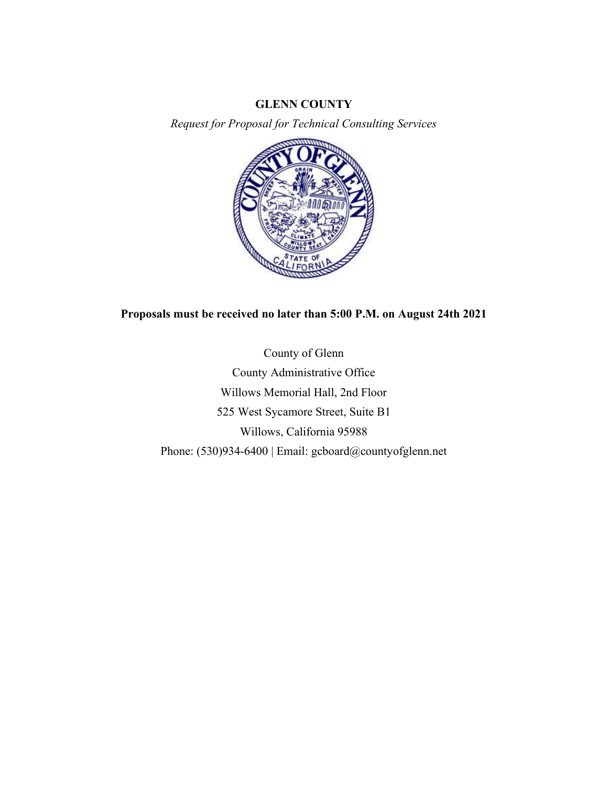#### **GLENN COUNTY**

*Request for Proposal for Technical Consulting Services*



# **Proposals must be received no later than 5:00 P.M. on August 24th 2021**

County of Glenn County Administrative Office Willows Memorial Hall, 2nd Floor 525 West Sycamore Street, Suite B1 Willows, California 95988 Phone: (530)934-6400 | Email: gcboard@countyofglenn.net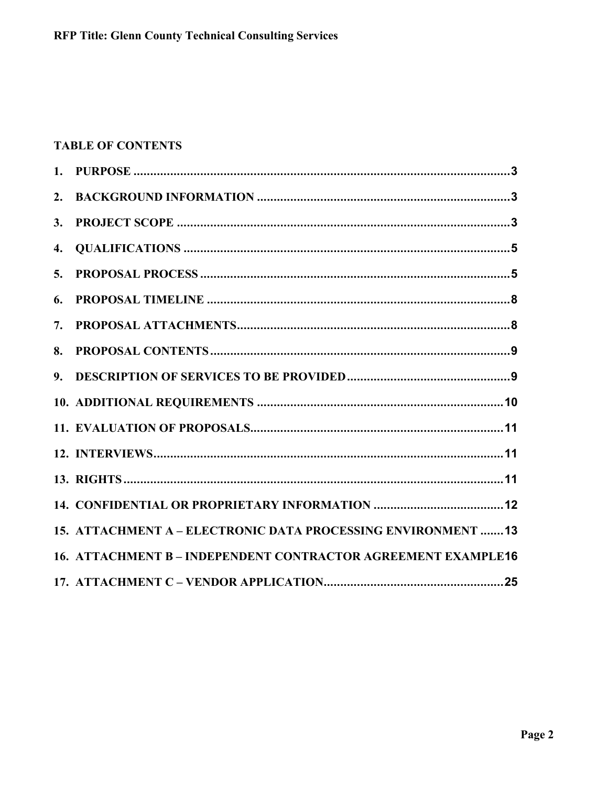# **TABLE OF CONTENTS**

| 2.             |                                                                      |
|----------------|----------------------------------------------------------------------|
| 3.             |                                                                      |
| 4.             |                                                                      |
| 5.             |                                                                      |
| 6.             |                                                                      |
| 7.             |                                                                      |
| 8.             |                                                                      |
| 9 <sub>r</sub> |                                                                      |
|                |                                                                      |
|                |                                                                      |
|                |                                                                      |
|                |                                                                      |
|                |                                                                      |
|                | 15. ATTACHMENT A - ELECTRONIC DATA PROCESSING ENVIRONMENT 13         |
|                | <b>16. ATTACHMENT B - INDEPENDENT CONTRACTOR AGREEMENT EXAMPLE16</b> |
|                |                                                                      |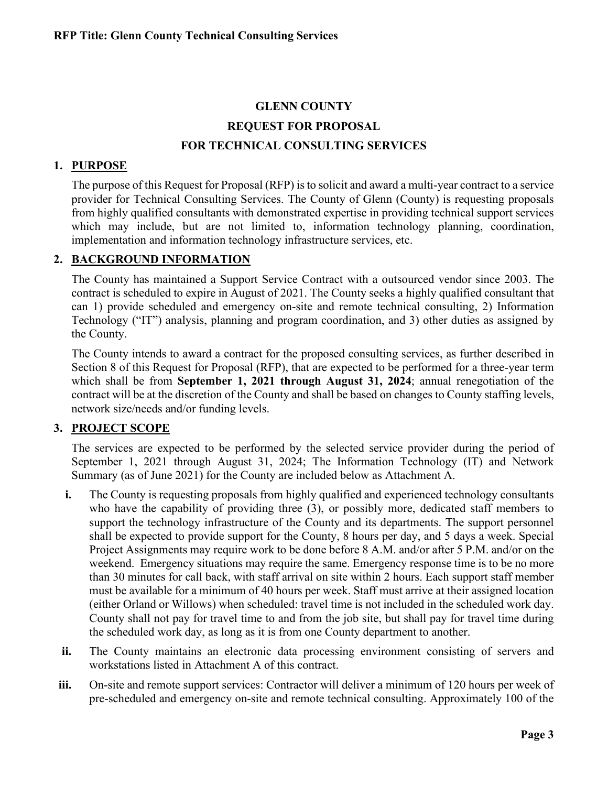# **GLENN COUNTY REQUEST FOR PROPOSAL FOR TECHNICAL CONSULTING SERVICES**

### **1. PURPOSE**

The purpose of this Request for Proposal (RFP) is to solicit and award a multi-year contract to a service provider for Technical Consulting Services. The County of Glenn (County) is requesting proposals from highly qualified consultants with demonstrated expertise in providing technical support services which may include, but are not limited to, information technology planning, coordination, implementation and information technology infrastructure services, etc.

### **2. BACKGROUND INFORMATION**

The County has maintained a Support Service Contract with a outsourced vendor since 2003. The contract is scheduled to expire in August of 2021. The County seeks a highly qualified consultant that can 1) provide scheduled and emergency on-site and remote technical consulting, 2) Information Technology ("IT") analysis, planning and program coordination, and 3) other duties as assigned by the County.

The County intends to award a contract for the proposed consulting services, as further described in Section 8 of this Request for Proposal (RFP), that are expected to be performed for a three-year term which shall be from **September 1, 2021 through August 31, 2024**; annual renegotiation of the contract will be at the discretion of the County and shall be based on changes to County staffing levels, network size/needs and/or funding levels.

# **3. PROJECT SCOPE**

The services are expected to be performed by the selected service provider during the period of September 1, 2021 through August 31, 2024; The Information Technology (IT) and Network Summary (as of June 2021) for the County are included below as Attachment A.

- **i.** The County is requesting proposals from highly qualified and experienced technology consultants who have the capability of providing three (3), or possibly more, dedicated staff members to support the technology infrastructure of the County and its departments. The support personnel shall be expected to provide support for the County, 8 hours per day, and 5 days a week. Special Project Assignments may require work to be done before 8 A.M. and/or after 5 P.M. and/or on the weekend. Emergency situations may require the same. Emergency response time is to be no more than 30 minutes for call back, with staff arrival on site within 2 hours. Each support staff member must be available for a minimum of 40 hours per week. Staff must arrive at their assigned location (either Orland or Willows) when scheduled: travel time is not included in the scheduled work day. County shall not pay for travel time to and from the job site, but shall pay for travel time during the scheduled work day, as long as it is from one County department to another.
- **ii.** The County maintains an electronic data processing environment consisting of servers and workstations listed in Attachment A of this contract.
- **iii.** On-site and remote support services: Contractor will deliver a minimum of 120 hours per week of pre-scheduled and emergency on-site and remote technical consulting. Approximately 100 of the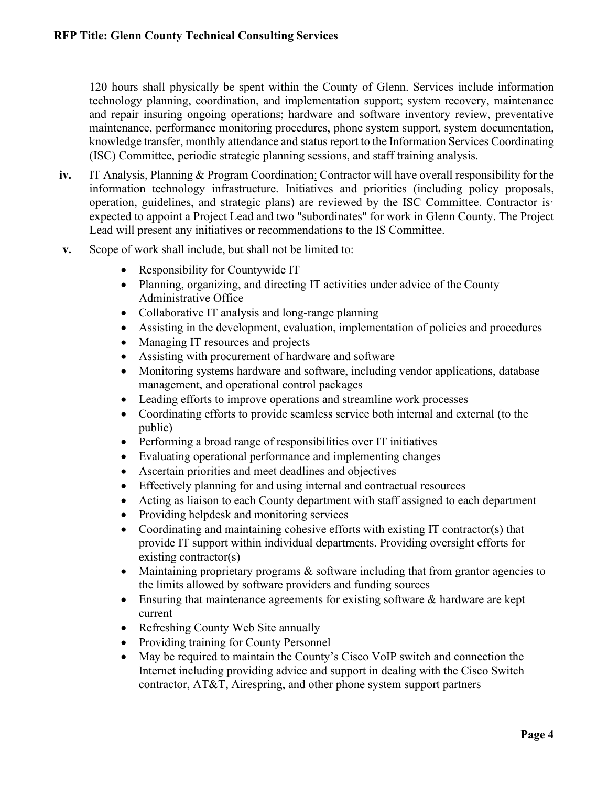120 hours shall physically be spent within the County of Glenn. Services include information technology planning, coordination, and implementation support; system recovery, maintenance and repair insuring ongoing operations; hardware and software inventory review, preventative maintenance, performance monitoring procedures, phone system support, system documentation, knowledge transfer, monthly attendance and status report to the Information Services Coordinating (ISC) Committee, periodic strategic planning sessions, and staff training analysis.

- **iv.** IT Analysis, Planning & Program Coordination: Contractor will have overall responsibility for the information technology infrastructure. Initiatives and priorities (including policy proposals, operation, guidelines, and strategic plans) are reviewed by the ISC Committee. Contractor is· expected to appoint a Project Lead and two "subordinates" for work in Glenn County. The Project Lead will present any initiatives or recommendations to the IS Committee.
- **v.** Scope of work shall include, but shall not be limited to:
	- Responsibility for Countywide IT
	- Planning, organizing, and directing IT activities under advice of the County Administrative Office
	- Collaborative IT analysis and long-range planning
	- Assisting in the development, evaluation, implementation of policies and procedures
	- Managing IT resources and projects
	- Assisting with procurement of hardware and software
	- Monitoring systems hardware and software, including vendor applications, database management, and operational control packages
	- Leading efforts to improve operations and streamline work processes
	- Coordinating efforts to provide seamless service both internal and external (to the public)
	- Performing a broad range of responsibilities over IT initiatives
	- Evaluating operational performance and implementing changes
	- Ascertain priorities and meet deadlines and objectives
	- Effectively planning for and using internal and contractual resources
	- Acting as liaison to each County department with staff assigned to each department
	- Providing helpdesk and monitoring services
	- Coordinating and maintaining cohesive efforts with existing IT contractor(s) that provide IT support within individual departments. Providing oversight efforts for existing contractor(s)
	- Maintaining proprietary programs & software including that from grantor agencies to the limits allowed by software providers and funding sources
	- Ensuring that maintenance agreements for existing software & hardware are kept current
	- Refreshing County Web Site annually
	- Providing training for County Personnel
	- May be required to maintain the County's Cisco VoIP switch and connection the Internet including providing advice and support in dealing with the Cisco Switch contractor, AT&T, Airespring, and other phone system support partners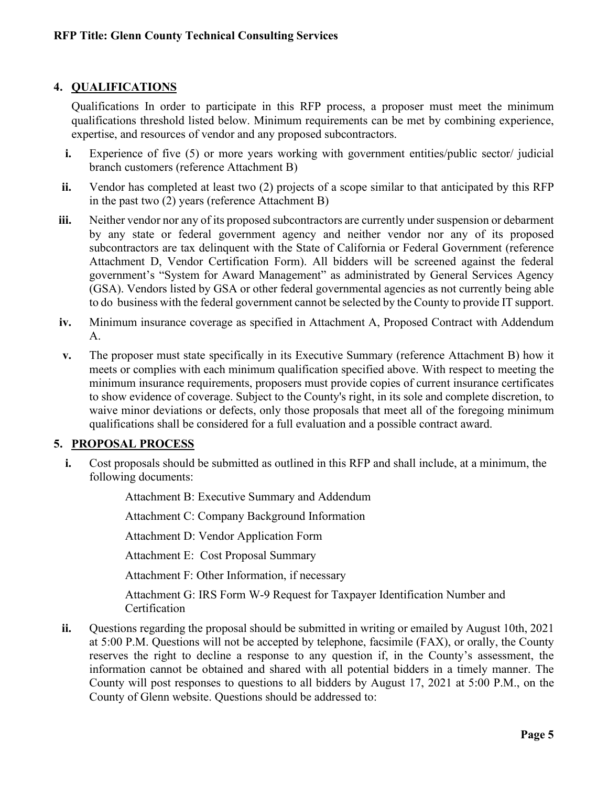### **4. QUALIFICATIONS**

Qualifications In order to participate in this RFP process, a proposer must meet the minimum qualifications threshold listed below. Minimum requirements can be met by combining experience, expertise, and resources of vendor and any proposed subcontractors.

- **i.** Experience of five (5) or more years working with government entities/public sector/ judicial branch customers (reference Attachment B)
- **ii.** Vendor has completed at least two (2) projects of a scope similar to that anticipated by this RFP in the past two (2) years (reference Attachment B)
- **iii.** Neither vendor nor any of its proposed subcontractors are currently under suspension or debarment by any state or federal government agency and neither vendor nor any of its proposed subcontractors are tax delinquent with the State of California or Federal Government (reference Attachment D, Vendor Certification Form). All bidders will be screened against the federal government's "System for Award Management" as administrated by General Services Agency (GSA). Vendors listed by GSA or other federal governmental agencies as not currently being able to do business with the federal government cannot be selected by the County to provide IT support.
- **iv.** Minimum insurance coverage as specified in Attachment A, Proposed Contract with Addendum A.
- **v.** The proposer must state specifically in its Executive Summary (reference Attachment B) how it meets or complies with each minimum qualification specified above. With respect to meeting the minimum insurance requirements, proposers must provide copies of current insurance certificates to show evidence of coverage. Subject to the County's right, in its sole and complete discretion, to waive minor deviations or defects, only those proposals that meet all of the foregoing minimum qualifications shall be considered for a full evaluation and a possible contract award.

#### **5. PROPOSAL PROCESS**

**i.** Cost proposals should be submitted as outlined in this RFP and shall include, at a minimum, the following documents:

> Attachment B: Executive Summary and Addendum Attachment C: Company Background Information Attachment D: Vendor Application Form

Attachment E: Cost Proposal Summary

Attachment F: Other Information, if necessary

Attachment G: IRS Form W-9 Request for Taxpayer Identification Number and **Certification** 

**ii.** Ouestions regarding the proposal should be submitted in writing or emailed by August 10th, 2021 at 5:00 P.M. Questions will not be accepted by telephone, facsimile (FAX), or orally, the County reserves the right to decline a response to any question if, in the County's assessment, the information cannot be obtained and shared with all potential bidders in a timely manner. The County will post responses to questions to all bidders by August 17, 2021 at 5:00 P.M., on the County of Glenn website. Questions should be addressed to: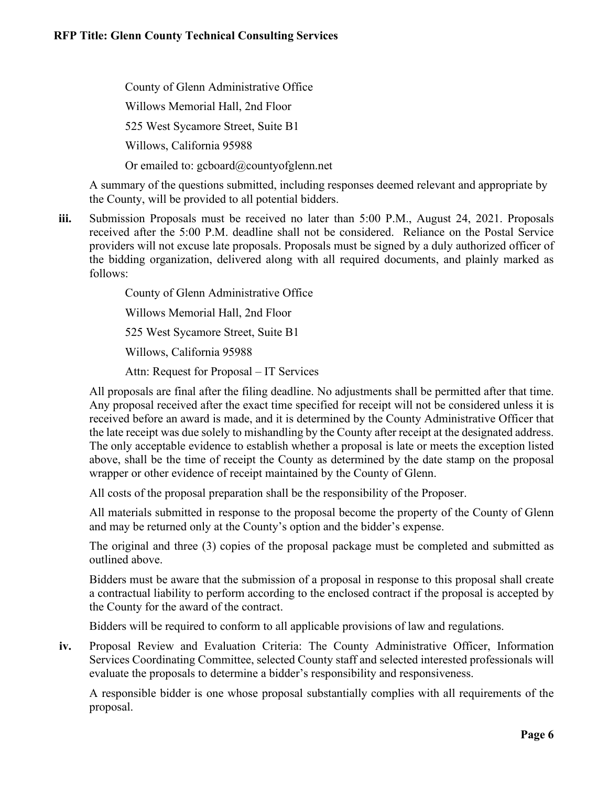County of Glenn Administrative Office Willows Memorial Hall, 2nd Floor 525 West Sycamore Street, Suite B1 Willows, California 95988 Or emailed to: gcboard@countyofglenn.net

A summary of the questions submitted, including responses deemed relevant and appropriate by the County, will be provided to all potential bidders.

**iii.** Submission Proposals must be received no later than 5:00 P.M., August 24, 2021. Proposals received after the 5:00 P.M. deadline shall not be considered. Reliance on the Postal Service providers will not excuse late proposals. Proposals must be signed by a duly authorized officer of the bidding organization, delivered along with all required documents, and plainly marked as follows:

County of Glenn Administrative Office

Willows Memorial Hall, 2nd Floor

525 West Sycamore Street, Suite B1

Willows, California 95988

Attn: Request for Proposal – IT Services

All proposals are final after the filing deadline. No adjustments shall be permitted after that time. Any proposal received after the exact time specified for receipt will not be considered unless it is received before an award is made, and it is determined by the County Administrative Officer that the late receipt was due solely to mishandling by the County after receipt at the designated address. The only acceptable evidence to establish whether a proposal is late or meets the exception listed above, shall be the time of receipt the County as determined by the date stamp on the proposal wrapper or other evidence of receipt maintained by the County of Glenn.

All costs of the proposal preparation shall be the responsibility of the Proposer.

All materials submitted in response to the proposal become the property of the County of Glenn and may be returned only at the County's option and the bidder's expense.

The original and three (3) copies of the proposal package must be completed and submitted as outlined above.

Bidders must be aware that the submission of a proposal in response to this proposal shall create a contractual liability to perform according to the enclosed contract if the proposal is accepted by the County for the award of the contract.

Bidders will be required to conform to all applicable provisions of law and regulations.

**iv.** Proposal Review and Evaluation Criteria: The County Administrative Officer, Information Services Coordinating Committee, selected County staff and selected interested professionals will evaluate the proposals to determine a bidder's responsibility and responsiveness.

A responsible bidder is one whose proposal substantially complies with all requirements of the proposal.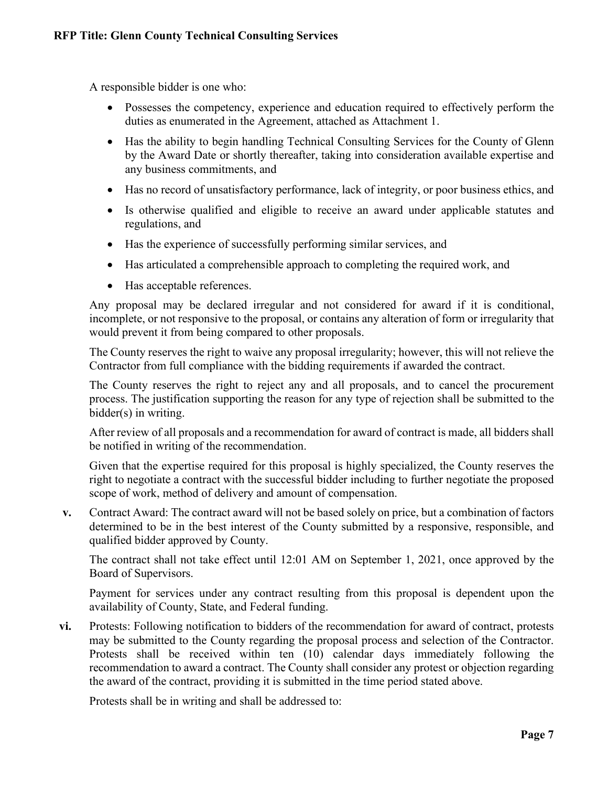A responsible bidder is one who:

- Possesses the competency, experience and education required to effectively perform the duties as enumerated in the Agreement, attached as Attachment 1.
- Has the ability to begin handling Technical Consulting Services for the County of Glenn by the Award Date or shortly thereafter, taking into consideration available expertise and any business commitments, and
- Has no record of unsatisfactory performance, lack of integrity, or poor business ethics, and
- Is otherwise qualified and eligible to receive an award under applicable statutes and regulations, and
- Has the experience of successfully performing similar services, and
- Has articulated a comprehensible approach to completing the required work, and
- Has acceptable references.

Any proposal may be declared irregular and not considered for award if it is conditional, incomplete, or not responsive to the proposal, or contains any alteration of form or irregularity that would prevent it from being compared to other proposals.

The County reserves the right to waive any proposal irregularity; however, this will not relieve the Contractor from full compliance with the bidding requirements if awarded the contract.

The County reserves the right to reject any and all proposals, and to cancel the procurement process. The justification supporting the reason for any type of rejection shall be submitted to the bidder(s) in writing.

After review of all proposals and a recommendation for award of contract is made, all bidders shall be notified in writing of the recommendation.

Given that the expertise required for this proposal is highly specialized, the County reserves the right to negotiate a contract with the successful bidder including to further negotiate the proposed scope of work, method of delivery and amount of compensation.

**v.** Contract Award: The contract award will not be based solely on price, but a combination of factors determined to be in the best interest of the County submitted by a responsive, responsible, and qualified bidder approved by County.

The contract shall not take effect until 12:01 AM on September 1, 2021, once approved by the Board of Supervisors.

Payment for services under any contract resulting from this proposal is dependent upon the availability of County, State, and Federal funding.

**vi.** Protests: Following notification to bidders of the recommendation for award of contract, protests may be submitted to the County regarding the proposal process and selection of the Contractor. Protests shall be received within ten (10) calendar days immediately following the recommendation to award a contract. The County shall consider any protest or objection regarding the award of the contract, providing it is submitted in the time period stated above.

Protests shall be in writing and shall be addressed to: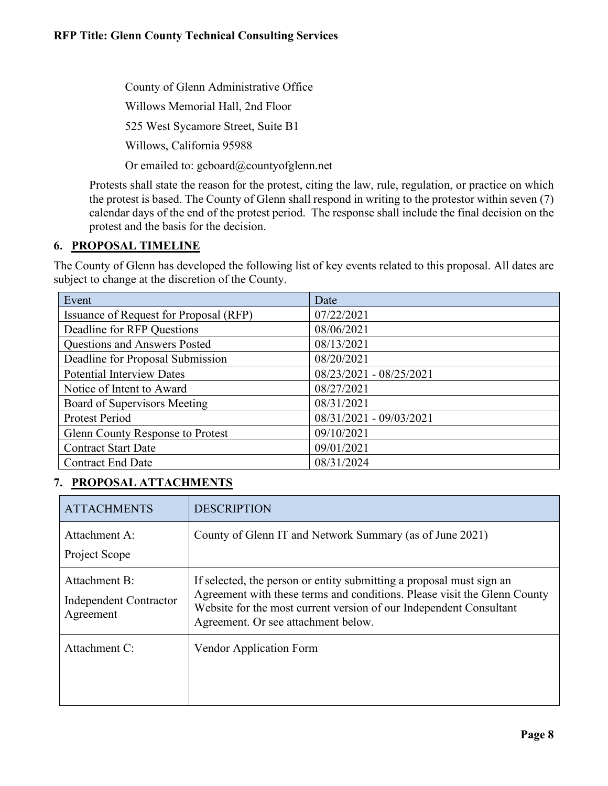County of Glenn Administrative Office

Willows Memorial Hall, 2nd Floor

525 West Sycamore Street, Suite B1

Willows, California 95988

Or emailed to: gcboard@countyofglenn.net

Protests shall state the reason for the protest, citing the law, rule, regulation, or practice on which the protest is based. The County of Glenn shall respond in writing to the protestor within seven (7) calendar days of the end of the protest period. The response shall include the final decision on the protest and the basis for the decision.

# **6. PROPOSAL TIMELINE**

The County of Glenn has developed the following list of key events related to this proposal. All dates are subject to change at the discretion of the County.

| Event                                  | Date                    |
|----------------------------------------|-------------------------|
| Issuance of Request for Proposal (RFP) | 07/22/2021              |
| Deadline for RFP Questions             | 08/06/2021              |
| Questions and Answers Posted           | 08/13/2021              |
| Deadline for Proposal Submission       | 08/20/2021              |
| <b>Potential Interview Dates</b>       | 08/23/2021 - 08/25/2021 |
| Notice of Intent to Award              | 08/27/2021              |
| Board of Supervisors Meeting           | 08/31/2021              |
| Protest Period                         | 08/31/2021 - 09/03/2021 |
| Glenn County Response to Protest       | 09/10/2021              |
| <b>Contract Start Date</b>             | 09/01/2021              |
| <b>Contract End Date</b>               | 08/31/2024              |

# **7. PROPOSAL ATTACHMENTS**

| <b>ATTACHMENTS</b>                                   | <b>DESCRIPTION</b>                                                                                                                                                                                                                                            |
|------------------------------------------------------|---------------------------------------------------------------------------------------------------------------------------------------------------------------------------------------------------------------------------------------------------------------|
| Attachment A:<br>Project Scope                       | County of Glenn IT and Network Summary (as of June 2021)                                                                                                                                                                                                      |
| Attachment B:<br>Independent Contractor<br>Agreement | If selected, the person or entity submitting a proposal must sign an<br>Agreement with these terms and conditions. Please visit the Glenn County<br>Website for the most current version of our Independent Consultant<br>Agreement. Or see attachment below. |
| Attachment C:                                        | Vendor Application Form                                                                                                                                                                                                                                       |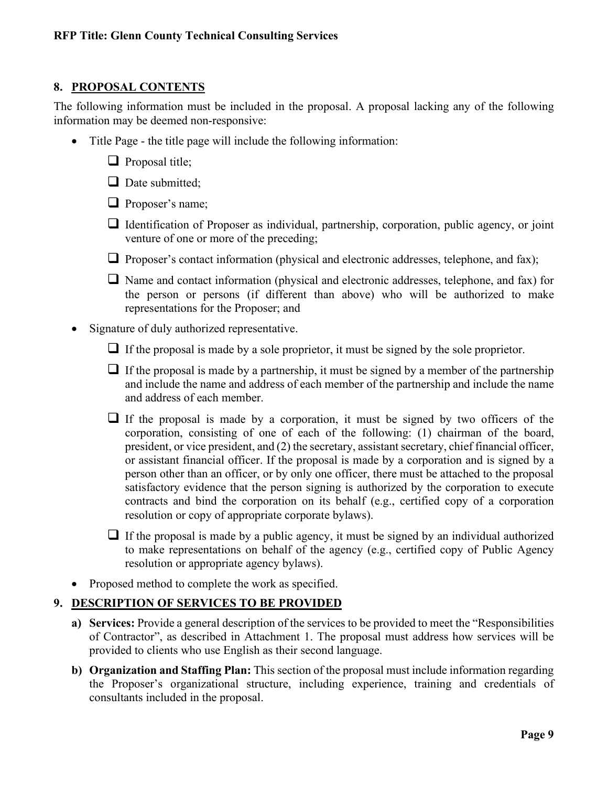# **8. PROPOSAL CONTENTS**

The following information must be included in the proposal. A proposal lacking any of the following information may be deemed non-responsive:

- Title Page the title page will include the following information:
	- $\Box$  Proposal title;
	- $\Box$  Date submitted:
	- **Proposer's name;**
	- $\Box$  Identification of Proposer as individual, partnership, corporation, public agency, or joint venture of one or more of the preceding;
	- **Proposer's contact information (physical and electronic addresses, telephone, and fax);**
	- $\Box$  Name and contact information (physical and electronic addresses, telephone, and fax) for the person or persons (if different than above) who will be authorized to make representations for the Proposer; and
- Signature of duly authorized representative.
	- $\Box$  If the proposal is made by a sole proprietor, it must be signed by the sole proprietor.
	- $\Box$  If the proposal is made by a partnership, it must be signed by a member of the partnership and include the name and address of each member of the partnership and include the name and address of each member.
	- $\Box$  If the proposal is made by a corporation, it must be signed by two officers of the corporation, consisting of one of each of the following: (1) chairman of the board, president, or vice president, and (2) the secretary, assistant secretary, chief financial officer, or assistant financial officer. If the proposal is made by a corporation and is signed by a person other than an officer, or by only one officer, there must be attached to the proposal satisfactory evidence that the person signing is authorized by the corporation to execute contracts and bind the corporation on its behalf (e.g., certified copy of a corporation resolution or copy of appropriate corporate bylaws).
	- $\Box$  If the proposal is made by a public agency, it must be signed by an individual authorized to make representations on behalf of the agency (e.g., certified copy of Public Agency resolution or appropriate agency bylaws).
- Proposed method to complete the work as specified.

# **9. DESCRIPTION OF SERVICES TO BE PROVIDED**

- **a) Services:** Provide a general description of the services to be provided to meet the "Responsibilities of Contractor", as described in Attachment 1. The proposal must address how services will be provided to clients who use English as their second language.
- **b) Organization and Staffing Plan:** This section of the proposal must include information regarding the Proposer's organizational structure, including experience, training and credentials of consultants included in the proposal.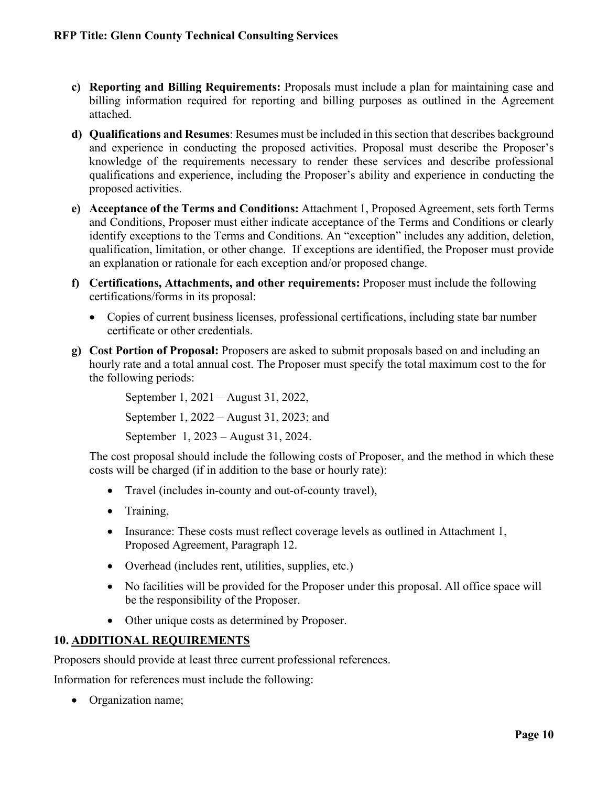- **c) Reporting and Billing Requirements:** Proposals must include a plan for maintaining case and billing information required for reporting and billing purposes as outlined in the Agreement attached.
- **d) Qualifications and Resumes**: Resumes must be included in this section that describes background and experience in conducting the proposed activities. Proposal must describe the Proposer's knowledge of the requirements necessary to render these services and describe professional qualifications and experience, including the Proposer's ability and experience in conducting the proposed activities.
- **e) Acceptance of the Terms and Conditions:** Attachment 1, Proposed Agreement, sets forth Terms and Conditions, Proposer must either indicate acceptance of the Terms and Conditions or clearly identify exceptions to the Terms and Conditions. An "exception" includes any addition, deletion, qualification, limitation, or other change. If exceptions are identified, the Proposer must provide an explanation or rationale for each exception and/or proposed change.
- **f) Certifications, Attachments, and other requirements:** Proposer must include the following certifications/forms in its proposal:
	- Copies of current business licenses, professional certifications, including state bar number certificate or other credentials.
- **g) Cost Portion of Proposal:** Proposers are asked to submit proposals based on and including an hourly rate and a total annual cost. The Proposer must specify the total maximum cost to the for the following periods:

September 1, 2021 – August 31, 2022,

September 1, 2022 – August 31, 2023; and

September 1, 2023 – August 31, 2024.

The cost proposal should include the following costs of Proposer, and the method in which these costs will be charged (if in addition to the base or hourly rate):

- Travel (includes in-county and out-of-county travel),
- Training,
- Insurance: These costs must reflect coverage levels as outlined in Attachment 1, Proposed Agreement, Paragraph 12.
- Overhead (includes rent, utilities, supplies, etc.)
- No facilities will be provided for the Proposer under this proposal. All office space will be the responsibility of the Proposer.
- Other unique costs as determined by Proposer.

# **10. ADDITIONAL REQUIREMENTS**

Proposers should provide at least three current professional references.

Information for references must include the following:

• Organization name;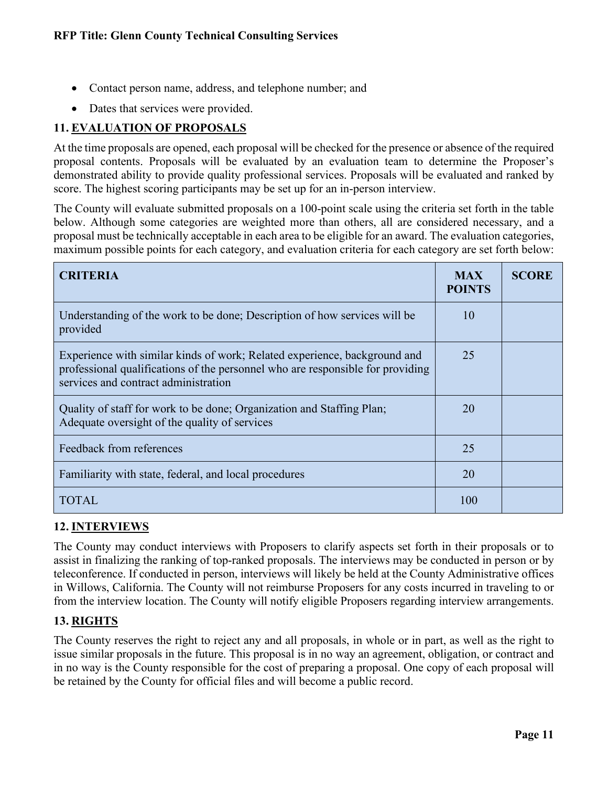- Contact person name, address, and telephone number; and
- Dates that services were provided.

# **11. EVALUATION OF PROPOSALS**

At the time proposals are opened, each proposal will be checked for the presence or absence of the required proposal contents. Proposals will be evaluated by an evaluation team to determine the Proposer's demonstrated ability to provide quality professional services. Proposals will be evaluated and ranked by score. The highest scoring participants may be set up for an in-person interview.

The County will evaluate submitted proposals on a 100-point scale using the criteria set forth in the table below. Although some categories are weighted more than others, all are considered necessary, and a proposal must be technically acceptable in each area to be eligible for an award. The evaluation categories, maximum possible points for each category, and evaluation criteria for each category are set forth below:

| <b>CRITERIA</b>                                                                                                                                                                                     | <b>MAX</b><br><b>POINTS</b> | <b>SCORE</b> |
|-----------------------------------------------------------------------------------------------------------------------------------------------------------------------------------------------------|-----------------------------|--------------|
| Understanding of the work to be done; Description of how services will be<br>provided                                                                                                               | 10                          |              |
| Experience with similar kinds of work; Related experience, background and<br>professional qualifications of the personnel who are responsible for providing<br>services and contract administration | 25                          |              |
| Quality of staff for work to be done; Organization and Staffing Plan;<br>Adequate oversight of the quality of services                                                                              | 20                          |              |
| Feedback from references                                                                                                                                                                            | 25                          |              |
| Familiarity with state, federal, and local procedures                                                                                                                                               | 20                          |              |
| TOTAL                                                                                                                                                                                               | 100                         |              |

# **12. INTERVIEWS**

The County may conduct interviews with Proposers to clarify aspects set forth in their proposals or to assist in finalizing the ranking of top-ranked proposals. The interviews may be conducted in person or by teleconference. If conducted in person, interviews will likely be held at the County Administrative offices in Willows, California. The County will not reimburse Proposers for any costs incurred in traveling to or from the interview location. The County will notify eligible Proposers regarding interview arrangements.

# **13. RIGHTS**

The County reserves the right to reject any and all proposals, in whole or in part, as well as the right to issue similar proposals in the future. This proposal is in no way an agreement, obligation, or contract and in no way is the County responsible for the cost of preparing a proposal. One copy of each proposal will be retained by the County for official files and will become a public record.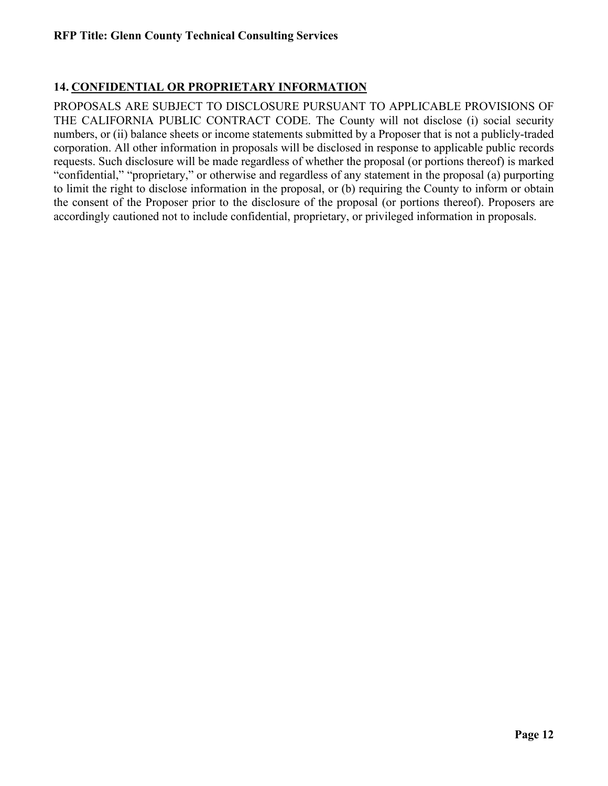# **14. CONFIDENTIAL OR PROPRIETARY INFORMATION**

PROPOSALS ARE SUBJECT TO DISCLOSURE PURSUANT TO APPLICABLE PROVISIONS OF THE CALIFORNIA PUBLIC CONTRACT CODE. The County will not disclose (i) social security numbers, or (ii) balance sheets or income statements submitted by a Proposer that is not a publicly-traded corporation. All other information in proposals will be disclosed in response to applicable public records requests. Such disclosure will be made regardless of whether the proposal (or portions thereof) is marked "confidential," "proprietary," or otherwise and regardless of any statement in the proposal (a) purporting to limit the right to disclose information in the proposal, or (b) requiring the County to inform or obtain the consent of the Proposer prior to the disclosure of the proposal (or portions thereof). Proposers are accordingly cautioned not to include confidential, proprietary, or privileged information in proposals.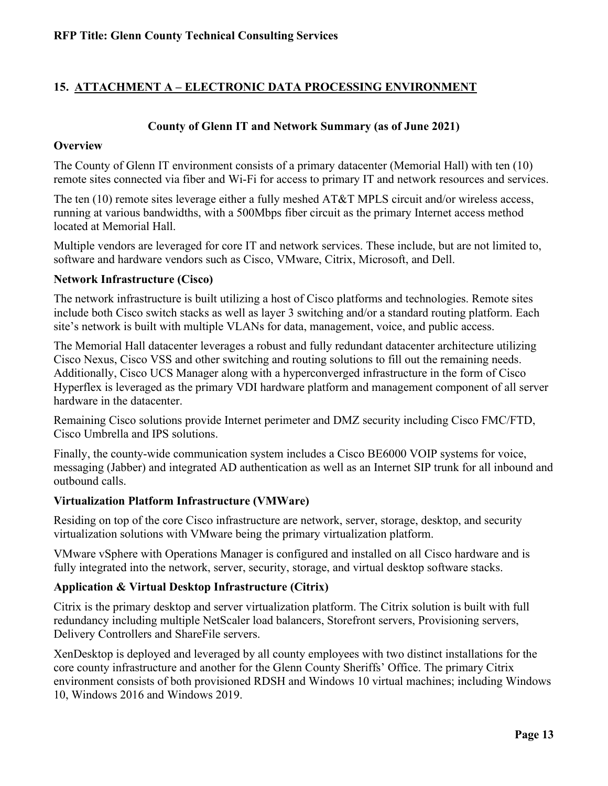# **15. ATTACHMENT A – ELECTRONIC DATA PROCESSING ENVIRONMENT**

#### **County of Glenn IT and Network Summary (as of June 2021)**

#### **Overview**

The County of Glenn IT environment consists of a primary datacenter (Memorial Hall) with ten (10) remote sites connected via fiber and Wi-Fi for access to primary IT and network resources and services.

The ten (10) remote sites leverage either a fully meshed AT&T MPLS circuit and/or wireless access, running at various bandwidths, with a 500Mbps fiber circuit as the primary Internet access method located at Memorial Hall.

Multiple vendors are leveraged for core IT and network services. These include, but are not limited to, software and hardware vendors such as Cisco, VMware, Citrix, Microsoft, and Dell.

#### **Network Infrastructure (Cisco)**

The network infrastructure is built utilizing a host of Cisco platforms and technologies. Remote sites include both Cisco switch stacks as well as layer 3 switching and/or a standard routing platform. Each site's network is built with multiple VLANs for data, management, voice, and public access.

The Memorial Hall datacenter leverages a robust and fully redundant datacenter architecture utilizing Cisco Nexus, Cisco VSS and other switching and routing solutions to fill out the remaining needs. Additionally, Cisco UCS Manager along with a hyperconverged infrastructure in the form of Cisco Hyperflex is leveraged as the primary VDI hardware platform and management component of all server hardware in the datacenter.

Remaining Cisco solutions provide Internet perimeter and DMZ security including Cisco FMC/FTD, Cisco Umbrella and IPS solutions.

Finally, the county-wide communication system includes a Cisco BE6000 VOIP systems for voice, messaging (Jabber) and integrated AD authentication as well as an Internet SIP trunk for all inbound and outbound calls.

#### **Virtualization Platform Infrastructure (VMWare)**

Residing on top of the core Cisco infrastructure are network, server, storage, desktop, and security virtualization solutions with VMware being the primary virtualization platform.

VMware vSphere with Operations Manager is configured and installed on all Cisco hardware and is fully integrated into the network, server, security, storage, and virtual desktop software stacks.

#### **Application & Virtual Desktop Infrastructure (Citrix)**

Citrix is the primary desktop and server virtualization platform. The Citrix solution is built with full redundancy including multiple NetScaler load balancers, Storefront servers, Provisioning servers, Delivery Controllers and ShareFile servers.

XenDesktop is deployed and leveraged by all county employees with two distinct installations for the core county infrastructure and another for the Glenn County Sheriffs' Office. The primary Citrix environment consists of both provisioned RDSH and Windows 10 virtual machines; including Windows 10, Windows 2016 and Windows 2019.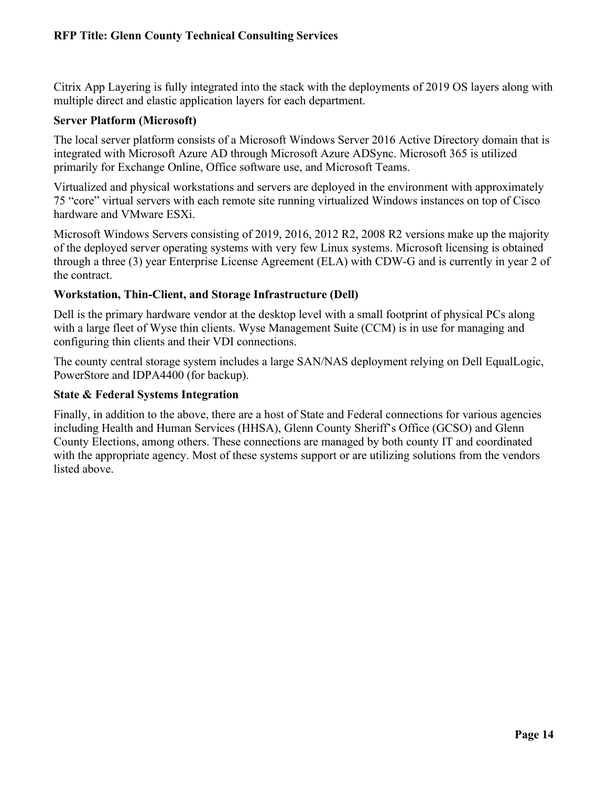Citrix App Layering is fully integrated into the stack with the deployments of 2019 OS layers along with multiple direct and elastic application layers for each department.

# **Server Platform (Microsoft)**

The local server platform consists of a Microsoft Windows Server 2016 Active Directory domain that is integrated with Microsoft Azure AD through Microsoft Azure ADSync. Microsoft 365 is utilized primarily for Exchange Online, Office software use, and Microsoft Teams.

Virtualized and physical workstations and servers are deployed in the environment with approximately 75 "core" virtual servers with each remote site running virtualized Windows instances on top of Cisco hardware and VMware ESXi.

Microsoft Windows Servers consisting of 2019, 2016, 2012 R2, 2008 R2 versions make up the majority of the deployed server operating systems with very few Linux systems. Microsoft licensing is obtained through a three (3) year Enterprise License Agreement (ELA) with CDW-G and is currently in year 2 of the contract.

# **Workstation, Thin-Client, and Storage Infrastructure (Dell)**

Dell is the primary hardware vendor at the desktop level with a small footprint of physical PCs along with a large fleet of Wyse thin clients. Wyse Management Suite (CCM) is in use for managing and configuring thin clients and their VDI connections.

The county central storage system includes a large SAN/NAS deployment relying on Dell EqualLogic, PowerStore and IDPA4400 (for backup).

# **State & Federal Systems Integration**

Finally, in addition to the above, there are a host of State and Federal connections for various agencies including Health and Human Services (HHSA), Glenn County Sheriff's Office (GCSO) and Glenn County Elections, among others. These connections are managed by both county IT and coordinated with the appropriate agency. Most of these systems support or are utilizing solutions from the vendors listed above.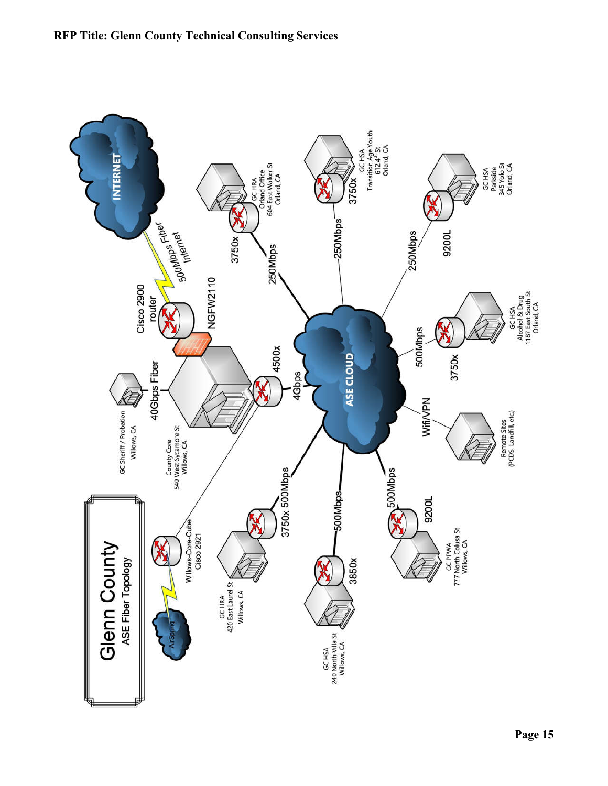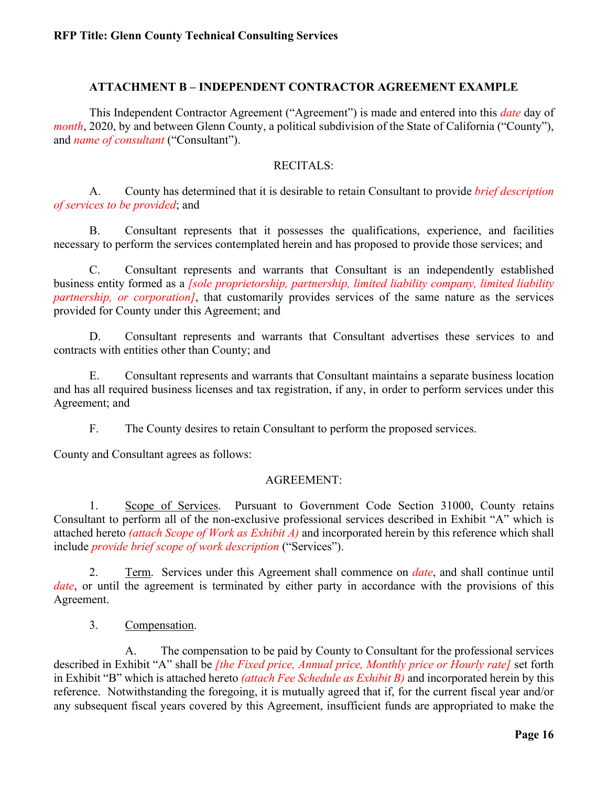### **ATTACHMENT B – INDEPENDENT CONTRACTOR AGREEMENT EXAMPLE**

This Independent Contractor Agreement ("Agreement") is made and entered into this *date* day of *month*, 2020, by and between Glenn County, a political subdivision of the State of California ("County"), and *name of consultant* ("Consultant").

#### RECITALS:

A. County has determined that it is desirable to retain Consultant to provide *brief description of services to be provided*; and

B. Consultant represents that it possesses the qualifications, experience, and facilities necessary to perform the services contemplated herein and has proposed to provide those services; and

C. Consultant represents and warrants that Consultant is an independently established business entity formed as a *[sole proprietorship, partnership, limited liability company, limited liability partnership, or corporation]*, that customarily provides services of the same nature as the services provided for County under this Agreement; and

D. Consultant represents and warrants that Consultant advertises these services to and contracts with entities other than County; and

E. Consultant represents and warrants that Consultant maintains a separate business location and has all required business licenses and tax registration, if any, in order to perform services under this Agreement; and

F. The County desires to retain Consultant to perform the proposed services.

County and Consultant agrees as follows:

#### AGREEMENT:

1. Scope of Services. Pursuant to Government Code Section 31000, County retains Consultant to perform all of the non-exclusive professional services described in Exhibit "A" which is attached hereto *(attach Scope of Work as Exhibit A)* and incorporated herein by this reference which shall include *provide brief scope of work description* ("Services").

2. Term. Services under this Agreement shall commence on *date*, and shall continue until *date*, or until the agreement is terminated by either party in accordance with the provisions of this Agreement.

3. Compensation.

A. The compensation to be paid by County to Consultant for the professional services described in Exhibit "A" shall be *[the Fixed price, Annual price, Monthly price or Hourly rate]* set forth in Exhibit "B" which is attached hereto *(attach Fee Schedule as Exhibit B)* and incorporated herein by this reference. Notwithstanding the foregoing, it is mutually agreed that if, for the current fiscal year and/or any subsequent fiscal years covered by this Agreement, insufficient funds are appropriated to make the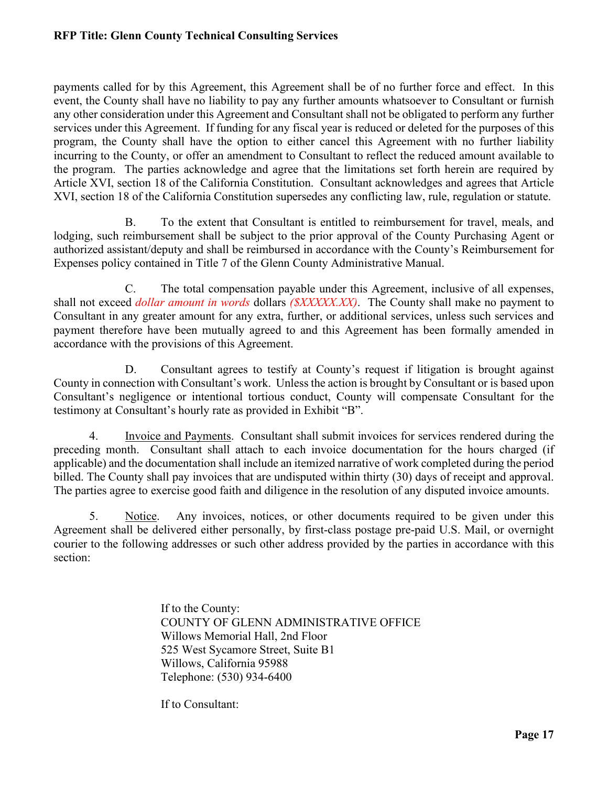payments called for by this Agreement, this Agreement shall be of no further force and effect. In this event, the County shall have no liability to pay any further amounts whatsoever to Consultant or furnish any other consideration under this Agreement and Consultant shall not be obligated to perform any further services under this Agreement. If funding for any fiscal year is reduced or deleted for the purposes of this program, the County shall have the option to either cancel this Agreement with no further liability incurring to the County, or offer an amendment to Consultant to reflect the reduced amount available to the program. The parties acknowledge and agree that the limitations set forth herein are required by Article XVI, section 18 of the California Constitution. Consultant acknowledges and agrees that Article XVI, section 18 of the California Constitution supersedes any conflicting law, rule, regulation or statute.

B. To the extent that Consultant is entitled to reimbursement for travel, meals, and lodging, such reimbursement shall be subject to the prior approval of the County Purchasing Agent or authorized assistant/deputy and shall be reimbursed in accordance with the County's Reimbursement for Expenses policy contained in Title 7 of the Glenn County Administrative Manual.

C. The total compensation payable under this Agreement, inclusive of all expenses, shall not exceed *dollar amount in words* dollars *(\$XXXXX.XX)*. The County shall make no payment to Consultant in any greater amount for any extra, further, or additional services, unless such services and payment therefore have been mutually agreed to and this Agreement has been formally amended in accordance with the provisions of this Agreement.

D. Consultant agrees to testify at County's request if litigation is brought against County in connection with Consultant's work. Unless the action is brought by Consultant or is based upon Consultant's negligence or intentional tortious conduct, County will compensate Consultant for the testimony at Consultant's hourly rate as provided in Exhibit "B".

4. Invoice and Payments. Consultant shall submit invoices for services rendered during the preceding month. Consultant shall attach to each invoice documentation for the hours charged (if applicable) and the documentation shall include an itemized narrative of work completed during the period billed. The County shall pay invoices that are undisputed within thirty (30) days of receipt and approval. The parties agree to exercise good faith and diligence in the resolution of any disputed invoice amounts.

5. Notice. Any invoices, notices, or other documents required to be given under this Agreement shall be delivered either personally, by first-class postage pre-paid U.S. Mail, or overnight courier to the following addresses or such other address provided by the parties in accordance with this section:

> If to the County: COUNTY OF GLENN ADMINISTRATIVE OFFICE Willows Memorial Hall, 2nd Floor 525 West Sycamore Street, Suite B1 Willows, California 95988 Telephone: (530) 934-6400

If to Consultant: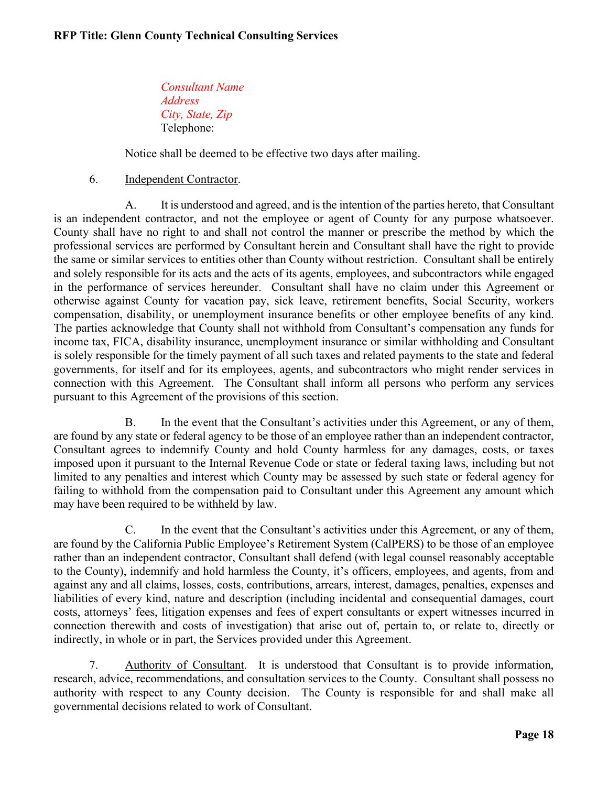*Consultant Name Address City, State, Zip* Telephone:

Notice shall be deemed to be effective two days after mailing.

6. Independent Contractor.

A. It is understood and agreed, and is the intention of the parties hereto, that Consultant is an independent contractor, and not the employee or agent of County for any purpose whatsoever. County shall have no right to and shall not control the manner or prescribe the method by which the professional services are performed by Consultant herein and Consultant shall have the right to provide the same or similar services to entities other than County without restriction. Consultant shall be entirely and solely responsible for its acts and the acts of its agents, employees, and subcontractors while engaged in the performance of services hereunder. Consultant shall have no claim under this Agreement or otherwise against County for vacation pay, sick leave, retirement benefits, Social Security, workers compensation, disability, or unemployment insurance benefits or other employee benefits of any kind. The parties acknowledge that County shall not withhold from Consultant's compensation any funds for income tax, FICA, disability insurance, unemployment insurance or similar withholding and Consultant is solely responsible for the timely payment of all such taxes and related payments to the state and federal governments, for itself and for its employees, agents, and subcontractors who might render services in connection with this Agreement. The Consultant shall inform all persons who perform any services pursuant to this Agreement of the provisions of this section.

B. In the event that the Consultant's activities under this Agreement, or any of them, are found by any state or federal agency to be those of an employee rather than an independent contractor, Consultant agrees to indemnify County and hold County harmless for any damages, costs, or taxes imposed upon it pursuant to the Internal Revenue Code or state or federal taxing laws, including but not limited to any penalties and interest which County may be assessed by such state or federal agency for failing to withhold from the compensation paid to Consultant under this Agreement any amount which may have been required to be withheld by law.

C. In the event that the Consultant's activities under this Agreement, or any of them, are found by the California Public Employee's Retirement System (CalPERS) to be those of an employee rather than an independent contractor, Consultant shall defend (with legal counsel reasonably acceptable to the County), indemnify and hold harmless the County, it's officers, employees, and agents, from and against any and all claims, losses, costs, contributions, arrears, interest, damages, penalties, expenses and liabilities of every kind, nature and description (including incidental and consequential damages, court costs, attorneys' fees, litigation expenses and fees of expert consultants or expert witnesses incurred in connection therewith and costs of investigation) that arise out of, pertain to, or relate to, directly or indirectly, in whole or in part, the Services provided under this Agreement.

7. Authority of Consultant. It is understood that Consultant is to provide information, research, advice, recommendations, and consultation services to the County. Consultant shall possess no authority with respect to any County decision. The County is responsible for and shall make all governmental decisions related to work of Consultant.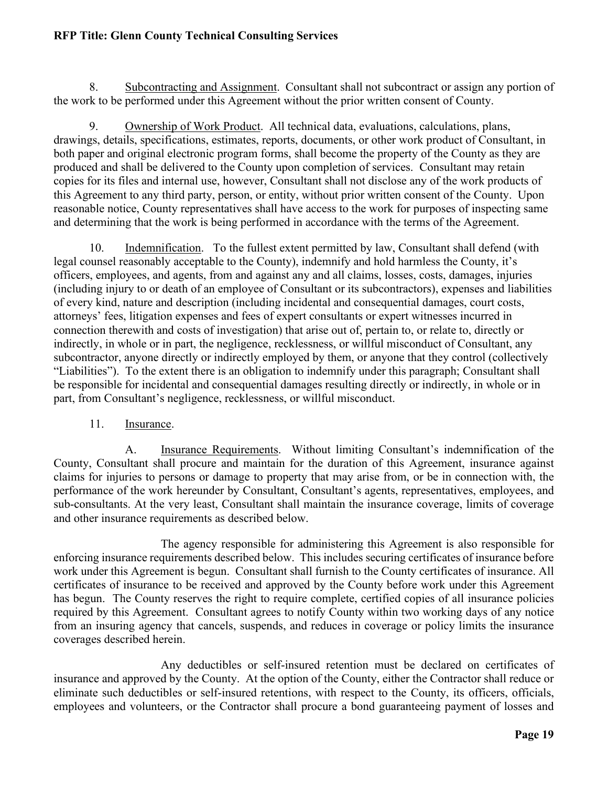8. Subcontracting and Assignment. Consultant shall not subcontract or assign any portion of the work to be performed under this Agreement without the prior written consent of County.

9. Ownership of Work Product. All technical data, evaluations, calculations, plans, drawings, details, specifications, estimates, reports, documents, or other work product of Consultant, in both paper and original electronic program forms, shall become the property of the County as they are produced and shall be delivered to the County upon completion of services. Consultant may retain copies for its files and internal use, however, Consultant shall not disclose any of the work products of this Agreement to any third party, person, or entity, without prior written consent of the County. Upon reasonable notice, County representatives shall have access to the work for purposes of inspecting same and determining that the work is being performed in accordance with the terms of the Agreement.

10. Indemnification. To the fullest extent permitted by law, Consultant shall defend (with legal counsel reasonably acceptable to the County), indemnify and hold harmless the County, it's officers, employees, and agents, from and against any and all claims, losses, costs, damages, injuries (including injury to or death of an employee of Consultant or its subcontractors), expenses and liabilities of every kind, nature and description (including incidental and consequential damages, court costs, attorneys' fees, litigation expenses and fees of expert consultants or expert witnesses incurred in connection therewith and costs of investigation) that arise out of, pertain to, or relate to, directly or indirectly, in whole or in part, the negligence, recklessness, or willful misconduct of Consultant, any subcontractor, anyone directly or indirectly employed by them, or anyone that they control (collectively "Liabilities"). To the extent there is an obligation to indemnify under this paragraph; Consultant shall be responsible for incidental and consequential damages resulting directly or indirectly, in whole or in part, from Consultant's negligence, recklessness, or willful misconduct.

11. Insurance.

A. Insurance Requirements. Without limiting Consultant's indemnification of the County, Consultant shall procure and maintain for the duration of this Agreement, insurance against claims for injuries to persons or damage to property that may arise from, or be in connection with, the performance of the work hereunder by Consultant, Consultant's agents, representatives, employees, and sub-consultants. At the very least, Consultant shall maintain the insurance coverage, limits of coverage and other insurance requirements as described below.

The agency responsible for administering this Agreement is also responsible for enforcing insurance requirements described below. This includes securing certificates of insurance before work under this Agreement is begun. Consultant shall furnish to the County certificates of insurance. All certificates of insurance to be received and approved by the County before work under this Agreement has begun. The County reserves the right to require complete, certified copies of all insurance policies required by this Agreement. Consultant agrees to notify County within two working days of any notice from an insuring agency that cancels, suspends, and reduces in coverage or policy limits the insurance coverages described herein.

Any deductibles or self-insured retention must be declared on certificates of insurance and approved by the County. At the option of the County, either the Contractor shall reduce or eliminate such deductibles or self-insured retentions, with respect to the County, its officers, officials, employees and volunteers, or the Contractor shall procure a bond guaranteeing payment of losses and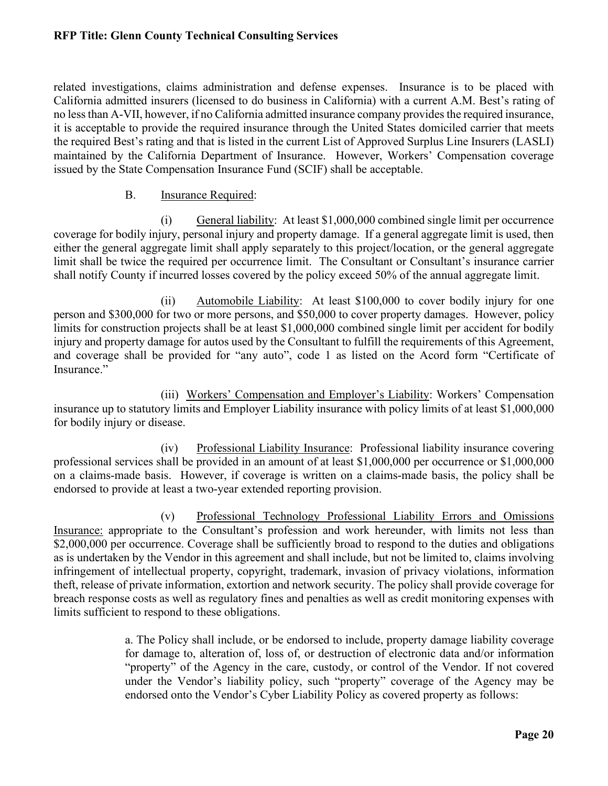related investigations, claims administration and defense expenses. Insurance is to be placed with California admitted insurers (licensed to do business in California) with a current A.M. Best's rating of no less than A-VII, however, if no California admitted insurance company provides the required insurance, it is acceptable to provide the required insurance through the United States domiciled carrier that meets the required Best's rating and that is listed in the current List of Approved Surplus Line Insurers (LASLI) maintained by the California Department of Insurance. However, Workers' Compensation coverage issued by the State Compensation Insurance Fund (SCIF) shall be acceptable.

#### B. Insurance Required:

(i) General liability: At least \$1,000,000 combined single limit per occurrence coverage for bodily injury, personal injury and property damage. If a general aggregate limit is used, then either the general aggregate limit shall apply separately to this project/location, or the general aggregate limit shall be twice the required per occurrence limit. The Consultant or Consultant's insurance carrier shall notify County if incurred losses covered by the policy exceed 50% of the annual aggregate limit.

(ii) Automobile Liability: At least \$100,000 to cover bodily injury for one person and \$300,000 for two or more persons, and \$50,000 to cover property damages. However, policy limits for construction projects shall be at least \$1,000,000 combined single limit per accident for bodily injury and property damage for autos used by the Consultant to fulfill the requirements of this Agreement, and coverage shall be provided for "any auto", code 1 as listed on the Acord form "Certificate of Insurance."

(iii) Workers' Compensation and Employer's Liability: Workers' Compensation insurance up to statutory limits and Employer Liability insurance with policy limits of at least \$1,000,000 for bodily injury or disease.

(iv) Professional Liability Insurance: Professional liability insurance covering professional services shall be provided in an amount of at least \$1,000,000 per occurrence or \$1,000,000 on a claims-made basis. However, if coverage is written on a claims-made basis, the policy shall be endorsed to provide at least a two-year extended reporting provision.

(v) Professional Technology Professional Liability Errors and Omissions Insurance: appropriate to the Consultant's profession and work hereunder, with limits not less than \$2,000,000 per occurrence. Coverage shall be sufficiently broad to respond to the duties and obligations as is undertaken by the Vendor in this agreement and shall include, but not be limited to, claims involving infringement of intellectual property, copyright, trademark, invasion of privacy violations, information theft, release of private information, extortion and network security. The policy shall provide coverage for breach response costs as well as regulatory fines and penalties as well as credit monitoring expenses with limits sufficient to respond to these obligations.

> a. The Policy shall include, or be endorsed to include, property damage liability coverage for damage to, alteration of, loss of, or destruction of electronic data and/or information "property" of the Agency in the care, custody, or control of the Vendor. If not covered under the Vendor's liability policy, such "property" coverage of the Agency may be endorsed onto the Vendor's Cyber Liability Policy as covered property as follows: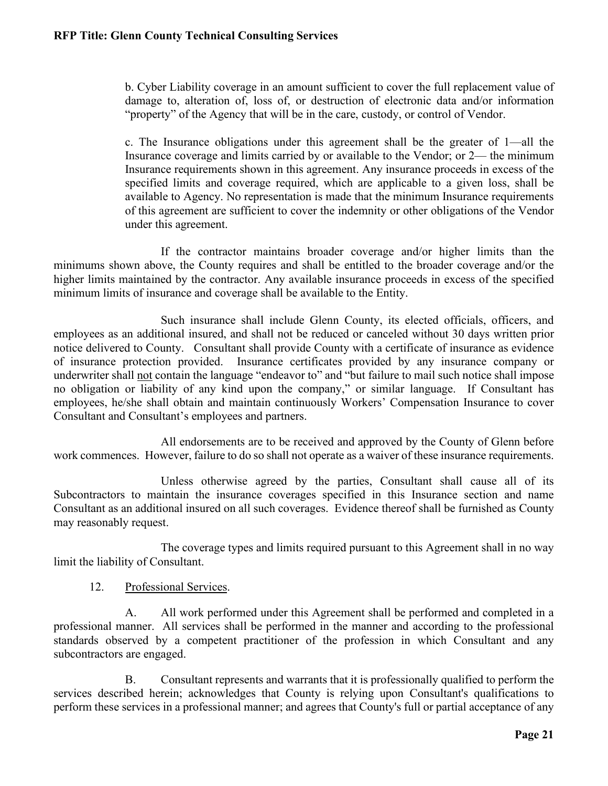b. Cyber Liability coverage in an amount sufficient to cover the full replacement value of damage to, alteration of, loss of, or destruction of electronic data and/or information "property" of the Agency that will be in the care, custody, or control of Vendor.

c. The Insurance obligations under this agreement shall be the greater of 1—all the Insurance coverage and limits carried by or available to the Vendor; or 2— the minimum Insurance requirements shown in this agreement. Any insurance proceeds in excess of the specified limits and coverage required, which are applicable to a given loss, shall be available to Agency. No representation is made that the minimum Insurance requirements of this agreement are sufficient to cover the indemnity or other obligations of the Vendor under this agreement.

If the contractor maintains broader coverage and/or higher limits than the minimums shown above, the County requires and shall be entitled to the broader coverage and/or the higher limits maintained by the contractor. Any available insurance proceeds in excess of the specified minimum limits of insurance and coverage shall be available to the Entity.

Such insurance shall include Glenn County, its elected officials, officers, and employees as an additional insured, and shall not be reduced or canceled without 30 days written prior notice delivered to County. Consultant shall provide County with a certificate of insurance as evidence of insurance protection provided. Insurance certificates provided by any insurance company or underwriter shall not contain the language "endeavor to" and "but failure to mail such notice shall impose no obligation or liability of any kind upon the company," or similar language. If Consultant has employees, he/she shall obtain and maintain continuously Workers' Compensation Insurance to cover Consultant and Consultant's employees and partners.

All endorsements are to be received and approved by the County of Glenn before work commences. However, failure to do so shall not operate as a waiver of these insurance requirements.

Unless otherwise agreed by the parties, Consultant shall cause all of its Subcontractors to maintain the insurance coverages specified in this Insurance section and name Consultant as an additional insured on all such coverages. Evidence thereof shall be furnished as County may reasonably request.

The coverage types and limits required pursuant to this Agreement shall in no way limit the liability of Consultant.

12. Professional Services.

A. All work performed under this Agreement shall be performed and completed in a professional manner. All services shall be performed in the manner and according to the professional standards observed by a competent practitioner of the profession in which Consultant and any subcontractors are engaged.

B. Consultant represents and warrants that it is professionally qualified to perform the services described herein; acknowledges that County is relying upon Consultant's qualifications to perform these services in a professional manner; and agrees that County's full or partial acceptance of any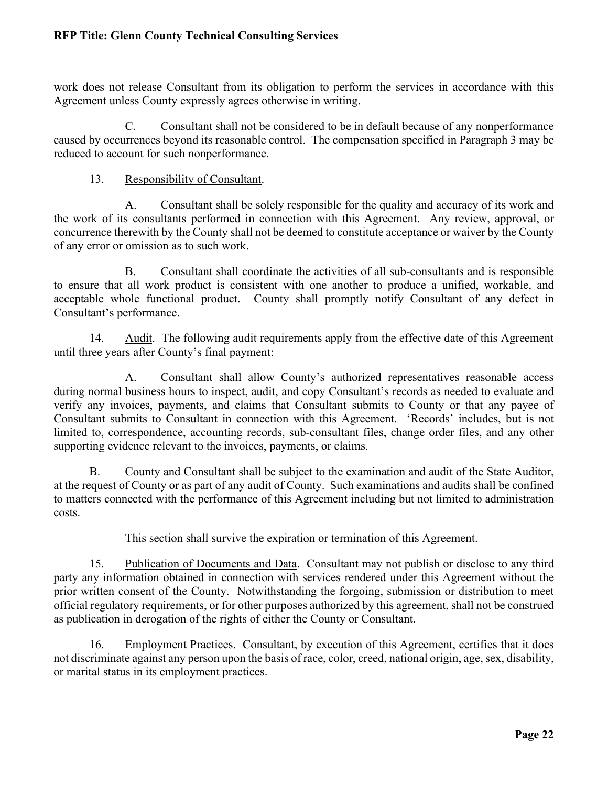work does not release Consultant from its obligation to perform the services in accordance with this Agreement unless County expressly agrees otherwise in writing.

C. Consultant shall not be considered to be in default because of any nonperformance caused by occurrences beyond its reasonable control. The compensation specified in Paragraph 3 may be reduced to account for such nonperformance.

### 13. Responsibility of Consultant.

A. Consultant shall be solely responsible for the quality and accuracy of its work and the work of its consultants performed in connection with this Agreement. Any review, approval, or concurrence therewith by the County shall not be deemed to constitute acceptance or waiver by the County of any error or omission as to such work.

B. Consultant shall coordinate the activities of all sub-consultants and is responsible to ensure that all work product is consistent with one another to produce a unified, workable, and acceptable whole functional product. County shall promptly notify Consultant of any defect in Consultant's performance.

14. Audit. The following audit requirements apply from the effective date of this Agreement until three years after County's final payment:

 A. Consultant shall allow County's authorized representatives reasonable access during normal business hours to inspect, audit, and copy Consultant's records as needed to evaluate and verify any invoices, payments, and claims that Consultant submits to County or that any payee of Consultant submits to Consultant in connection with this Agreement. 'Records' includes, but is not limited to, correspondence, accounting records, sub-consultant files, change order files, and any other supporting evidence relevant to the invoices, payments, or claims.

 B. County and Consultant shall be subject to the examination and audit of the State Auditor, at the request of County or as part of any audit of County. Such examinations and audits shall be confined to matters connected with the performance of this Agreement including but not limited to administration costs.

This section shall survive the expiration or termination of this Agreement.

15. Publication of Documents and Data. Consultant may not publish or disclose to any third party any information obtained in connection with services rendered under this Agreement without the prior written consent of the County. Notwithstanding the forgoing, submission or distribution to meet official regulatory requirements, or for other purposes authorized by this agreement, shall not be construed as publication in derogation of the rights of either the County or Consultant.

16. Employment Practices. Consultant, by execution of this Agreement, certifies that it does not discriminate against any person upon the basis of race, color, creed, national origin, age, sex, disability, or marital status in its employment practices.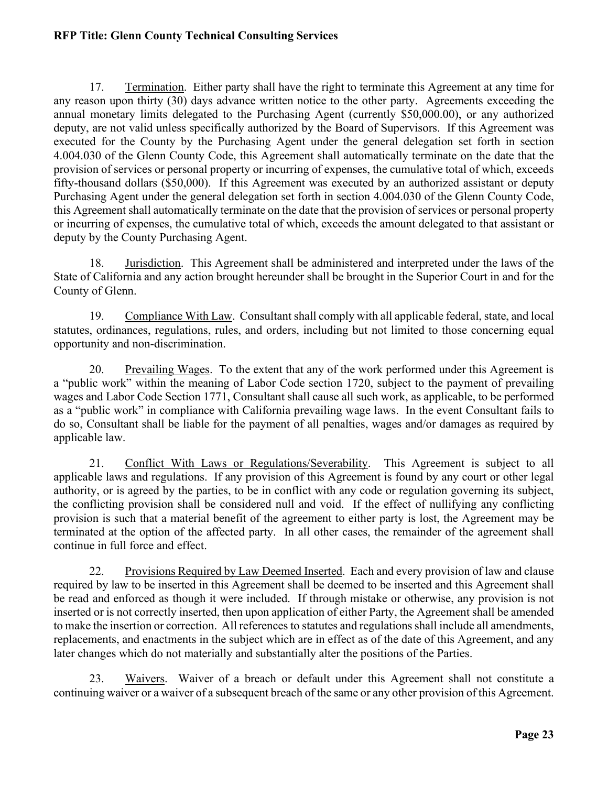17. Termination. Either party shall have the right to terminate this Agreement at any time for any reason upon thirty (30) days advance written notice to the other party. Agreements exceeding the annual monetary limits delegated to the Purchasing Agent (currently \$50,000.00), or any authorized deputy, are not valid unless specifically authorized by the Board of Supervisors. If this Agreement was executed for the County by the Purchasing Agent under the general delegation set forth in section 4.004.030 of the Glenn County Code, this Agreement shall automatically terminate on the date that the provision of services or personal property or incurring of expenses, the cumulative total of which, exceeds fifty-thousand dollars (\$50,000). If this Agreement was executed by an authorized assistant or deputy Purchasing Agent under the general delegation set forth in section 4.004.030 of the Glenn County Code, this Agreement shall automatically terminate on the date that the provision of services or personal property or incurring of expenses, the cumulative total of which, exceeds the amount delegated to that assistant or deputy by the County Purchasing Agent.

18. Jurisdiction. This Agreement shall be administered and interpreted under the laws of the State of California and any action brought hereunder shall be brought in the Superior Court in and for the County of Glenn.

19. Compliance With Law. Consultant shall comply with all applicable federal, state, and local statutes, ordinances, regulations, rules, and orders, including but not limited to those concerning equal opportunity and non-discrimination.

20. Prevailing Wages. To the extent that any of the work performed under this Agreement is a "public work" within the meaning of Labor Code section 1720, subject to the payment of prevailing wages and Labor Code Section 1771, Consultant shall cause all such work, as applicable, to be performed as a "public work" in compliance with California prevailing wage laws. In the event Consultant fails to do so, Consultant shall be liable for the payment of all penalties, wages and/or damages as required by applicable law.

21. Conflict With Laws or Regulations/Severability. This Agreement is subject to all applicable laws and regulations. If any provision of this Agreement is found by any court or other legal authority, or is agreed by the parties, to be in conflict with any code or regulation governing its subject, the conflicting provision shall be considered null and void. If the effect of nullifying any conflicting provision is such that a material benefit of the agreement to either party is lost, the Agreement may be terminated at the option of the affected party. In all other cases, the remainder of the agreement shall continue in full force and effect.

22. Provisions Required by Law Deemed Inserted. Each and every provision of law and clause required by law to be inserted in this Agreement shall be deemed to be inserted and this Agreement shall be read and enforced as though it were included. If through mistake or otherwise, any provision is not inserted or is not correctly inserted, then upon application of either Party, the Agreement shall be amended to make the insertion or correction. All references to statutes and regulations shall include all amendments, replacements, and enactments in the subject which are in effect as of the date of this Agreement, and any later changes which do not materially and substantially alter the positions of the Parties.

23. Waivers. Waiver of a breach or default under this Agreement shall not constitute a continuing waiver or a waiver of a subsequent breach of the same or any other provision of this Agreement.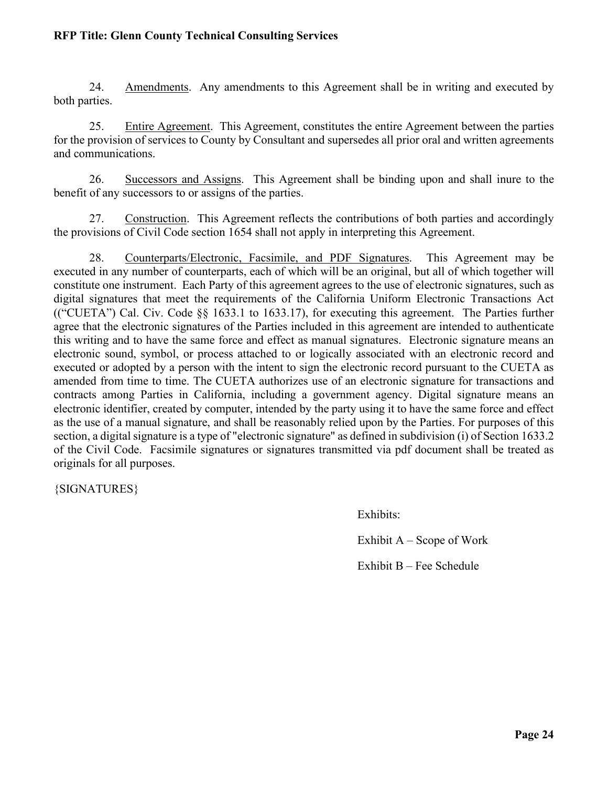24. Amendments. Any amendments to this Agreement shall be in writing and executed by both parties.

25. Entire Agreement. This Agreement, constitutes the entire Agreement between the parties for the provision of services to County by Consultant and supersedes all prior oral and written agreements and communications.

26. Successors and Assigns. This Agreement shall be binding upon and shall inure to the benefit of any successors to or assigns of the parties.

27. Construction. This Agreement reflects the contributions of both parties and accordingly the provisions of Civil Code section 1654 shall not apply in interpreting this Agreement.

28. Counterparts/Electronic, Facsimile, and PDF Signatures. This Agreement may be executed in any number of counterparts, each of which will be an original, but all of which together will constitute one instrument. Each Party of this agreement agrees to the use of electronic signatures, such as digital signatures that meet the requirements of the California Uniform Electronic Transactions Act (("CUETA") Cal. Civ. Code §§ 1633.1 to 1633.17), for executing this agreement. The Parties further agree that the electronic signatures of the Parties included in this agreement are intended to authenticate this writing and to have the same force and effect as manual signatures. Electronic signature means an electronic sound, symbol, or process attached to or logically associated with an electronic record and executed or adopted by a person with the intent to sign the electronic record pursuant to the CUETA as amended from time to time. The CUETA authorizes use of an electronic signature for transactions and contracts among Parties in California, including a government agency. Digital signature means an electronic identifier, created by computer, intended by the party using it to have the same force and effect as the use of a manual signature, and shall be reasonably relied upon by the Parties. For purposes of this section, a digital signature is a type of "electronic signature" as defined in subdivision (i) of Section 1633.2 of the Civil Code. Facsimile signatures or signatures transmitted via pdf document shall be treated as originals for all purposes.

{SIGNATURES}

Exhibits:

Exhibit  $A -$  Scope of Work

Exhibit B – Fee Schedule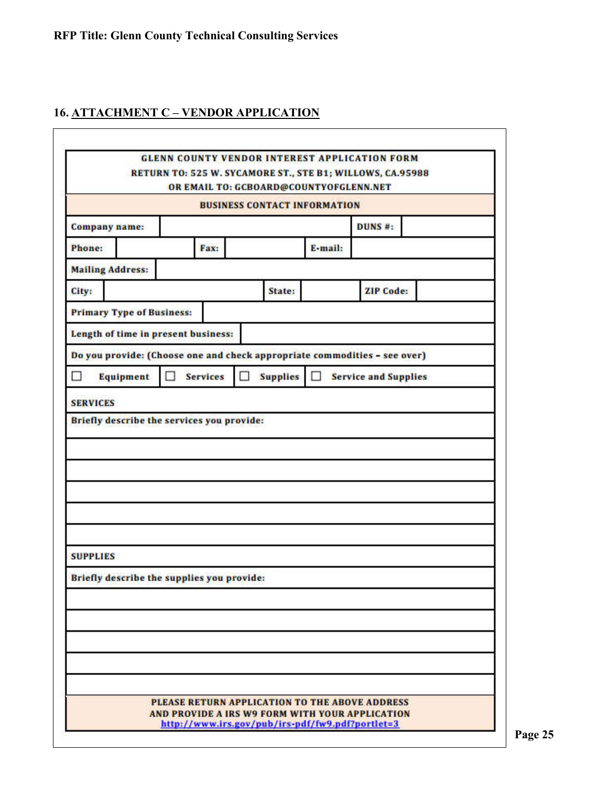# **16. ATTACHMENT C – VENDOR APPLICATION**

|                                                                           |   |                                            |    | OR EMAIL TO: GCBOARD@COUNTYOFGLENN.NET |         | RETURN TO: 525 W. SYCAMORE ST., STE B1; WILLOWS, CA.95988 |  |
|---------------------------------------------------------------------------|---|--------------------------------------------|----|----------------------------------------|---------|-----------------------------------------------------------|--|
|                                                                           |   |                                            |    | <b>BUSINESS CONTACT INFORMATION</b>    |         |                                                           |  |
| <b>Company name:</b>                                                      |   |                                            |    |                                        |         | DUNS <sup>#</sup> :                                       |  |
| Phone:                                                                    |   | Fax:                                       |    |                                        | E-mail: |                                                           |  |
| <b>Mailing Address:</b>                                                   |   |                                            |    |                                        |         |                                                           |  |
| City:                                                                     |   |                                            |    | State:                                 |         | <b>ZIP Code:</b>                                          |  |
| <b>Primary Type of Business:</b>                                          |   |                                            |    |                                        |         |                                                           |  |
| Length of time in present business:                                       |   |                                            |    |                                        |         |                                                           |  |
| Do you provide: (Choose one and check appropriate commodities - see over) |   |                                            |    |                                        |         |                                                           |  |
| П<br>Equipment                                                            | Ω | <b>Services</b>                            | 81 | <b>Supplies</b>                        | $\Box$  | <b>Service and Supplies</b>                               |  |
|                                                                           |   | Briefly describe the services you provide: |    |                                        |         |                                                           |  |
|                                                                           |   |                                            |    |                                        |         |                                                           |  |
| <b>SUPPLIES</b>                                                           |   |                                            |    |                                        |         |                                                           |  |
| Briefly describe the supplies you provide:                                |   |                                            |    |                                        |         |                                                           |  |